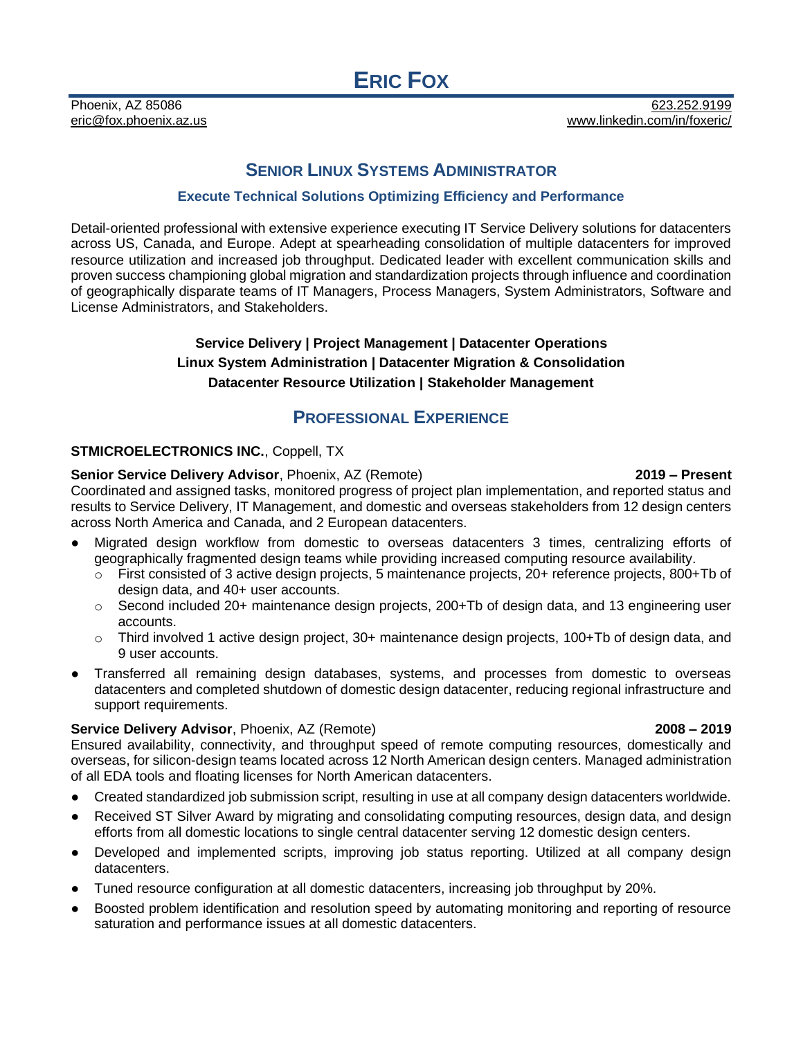# **SENIOR LINUX SYSTEMS ADMINISTRATOR**

### **Execute Technical Solutions Optimizing Efficiency and Performance**

Detail-oriented professional with extensive experience executing IT Service Delivery solutions for datacenters across US, Canada, and Europe. Adept at spearheading consolidation of multiple datacenters for improved resource utilization and increased job throughput. Dedicated leader with excellent communication skills and proven success championing global migration and standardization projects through influence and coordination of geographically disparate teams of IT Managers, Process Managers, System Administrators, Software and License Administrators, and Stakeholders.

# **Service Delivery | Project Management | Datacenter Operations Linux System Administration | Datacenter Migration & Consolidation Datacenter Resource Utilization | Stakeholder Management**

# **PROFESSIONAL EXPERIENCE**

### **STMICROELECTRONICS INC.**, Coppell, TX

#### **Senior Service Delivery Advisor**, Phoenix, AZ (Remote) **2019 – Present**

Coordinated and assigned tasks, monitored progress of project plan implementation, and reported status and results to Service Delivery, IT Management, and domestic and overseas stakeholders from 12 design centers across North America and Canada, and 2 European datacenters.

- Migrated design workflow from domestic to overseas datacenters 3 times, centralizing efforts of geographically fragmented design teams while providing increased computing resource availability.
	- $\circ$  First consisted of 3 active design projects, 5 maintenance projects, 20+ reference projects, 800+Tb of design data, and 40+ user accounts.
	- o Second included 20+ maintenance design projects, 200+Tb of design data, and 13 engineering user accounts.
	- $\circ$  Third involved 1 active design project, 30+ maintenance design projects, 100+Tb of design data, and 9 user accounts.
- Transferred all remaining design databases, systems, and processes from domestic to overseas datacenters and completed shutdown of domestic design datacenter, reducing regional infrastructure and support requirements.

#### **Service Delivery Advisor**, Phoenix, AZ (Remote) **2008 – 2019**

#### Ensured availability, connectivity, and throughput speed of remote computing resources, domestically and overseas, for silicon-design teams located across 12 North American design centers. Managed administration of all EDA tools and floating licenses for North American datacenters.

- Created standardized job submission script, resulting in use at all company design datacenters worldwide.
- Received ST Silver Award by migrating and consolidating computing resources, design data, and design efforts from all domestic locations to single central datacenter serving 12 domestic design centers.
- Developed and implemented scripts, improving job status reporting. Utilized at all company design datacenters.
- Tuned resource configuration at all domestic datacenters, increasing job throughput by 20%.
- Boosted problem identification and resolution speed by automating monitoring and reporting of resource saturation and performance issues at all domestic datacenters.